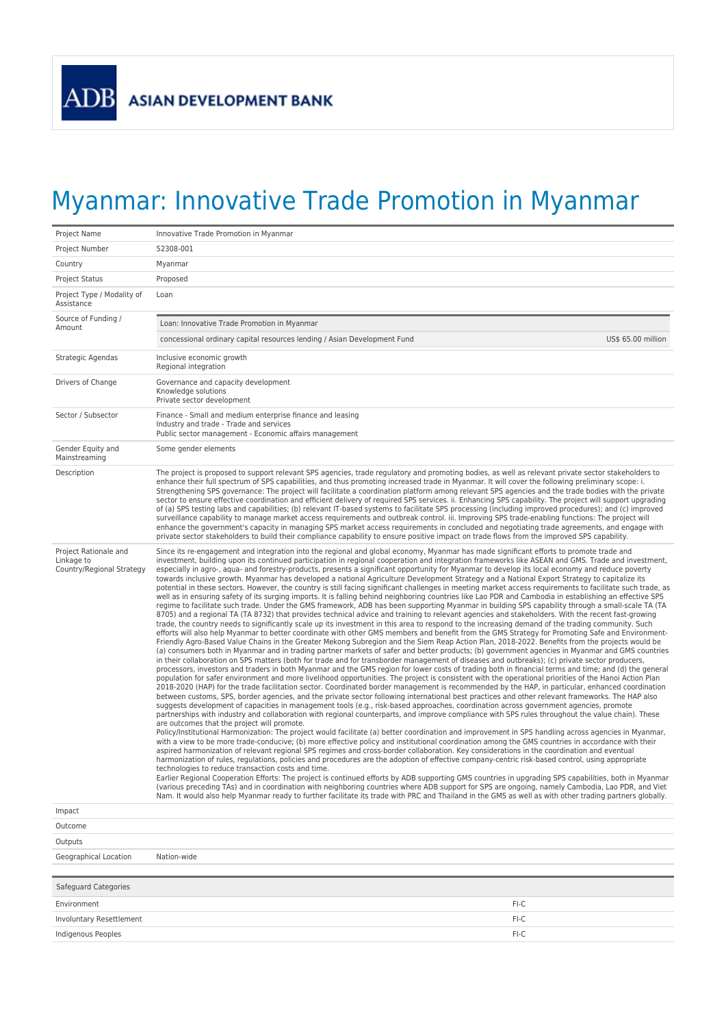## Myanmar: Innovative Trade Promotion in Myanmar

| Project Name                                                     | Innovative Trade Promotion in Myanmar                                                                                                                                                                                                                                                                                                                                                                                                                                                                                                                                                                                                                                                                                                                                                                                                                                                                                                                                                                                                                                                                                                                                                                                                                                                                                                                                                                                                                                                                                                                                                                                                                                                                                                                                                                                                                                                                                                                                                                                                                                                                                                                                                                                                                                                                                                                                                                                                                                                                                                                                                                                                                                                                                                                                                                                                                                                                                                                                                                                                                                                                                                                                                                                                                                                                                                                                                                                                                                                                                                                                                                                                                                                                                                                                                                                                                                                                                                                                                                                                                                                                                      |  |
|------------------------------------------------------------------|----------------------------------------------------------------------------------------------------------------------------------------------------------------------------------------------------------------------------------------------------------------------------------------------------------------------------------------------------------------------------------------------------------------------------------------------------------------------------------------------------------------------------------------------------------------------------------------------------------------------------------------------------------------------------------------------------------------------------------------------------------------------------------------------------------------------------------------------------------------------------------------------------------------------------------------------------------------------------------------------------------------------------------------------------------------------------------------------------------------------------------------------------------------------------------------------------------------------------------------------------------------------------------------------------------------------------------------------------------------------------------------------------------------------------------------------------------------------------------------------------------------------------------------------------------------------------------------------------------------------------------------------------------------------------------------------------------------------------------------------------------------------------------------------------------------------------------------------------------------------------------------------------------------------------------------------------------------------------------------------------------------------------------------------------------------------------------------------------------------------------------------------------------------------------------------------------------------------------------------------------------------------------------------------------------------------------------------------------------------------------------------------------------------------------------------------------------------------------------------------------------------------------------------------------------------------------------------------------------------------------------------------------------------------------------------------------------------------------------------------------------------------------------------------------------------------------------------------------------------------------------------------------------------------------------------------------------------------------------------------------------------------------------------------------------------------------------------------------------------------------------------------------------------------------------------------------------------------------------------------------------------------------------------------------------------------------------------------------------------------------------------------------------------------------------------------------------------------------------------------------------------------------------------------------------------------------------------------------------------------------------------------------------------------------------------------------------------------------------------------------------------------------------------------------------------------------------------------------------------------------------------------------------------------------------------------------------------------------------------------------------------------------------------------------------------------------------------------------------------------------|--|
| Project Number                                                   | 52308-001                                                                                                                                                                                                                                                                                                                                                                                                                                                                                                                                                                                                                                                                                                                                                                                                                                                                                                                                                                                                                                                                                                                                                                                                                                                                                                                                                                                                                                                                                                                                                                                                                                                                                                                                                                                                                                                                                                                                                                                                                                                                                                                                                                                                                                                                                                                                                                                                                                                                                                                                                                                                                                                                                                                                                                                                                                                                                                                                                                                                                                                                                                                                                                                                                                                                                                                                                                                                                                                                                                                                                                                                                                                                                                                                                                                                                                                                                                                                                                                                                                                                                                                  |  |
| Country                                                          | Myanmar                                                                                                                                                                                                                                                                                                                                                                                                                                                                                                                                                                                                                                                                                                                                                                                                                                                                                                                                                                                                                                                                                                                                                                                                                                                                                                                                                                                                                                                                                                                                                                                                                                                                                                                                                                                                                                                                                                                                                                                                                                                                                                                                                                                                                                                                                                                                                                                                                                                                                                                                                                                                                                                                                                                                                                                                                                                                                                                                                                                                                                                                                                                                                                                                                                                                                                                                                                                                                                                                                                                                                                                                                                                                                                                                                                                                                                                                                                                                                                                                                                                                                                                    |  |
| <b>Project Status</b>                                            | Proposed                                                                                                                                                                                                                                                                                                                                                                                                                                                                                                                                                                                                                                                                                                                                                                                                                                                                                                                                                                                                                                                                                                                                                                                                                                                                                                                                                                                                                                                                                                                                                                                                                                                                                                                                                                                                                                                                                                                                                                                                                                                                                                                                                                                                                                                                                                                                                                                                                                                                                                                                                                                                                                                                                                                                                                                                                                                                                                                                                                                                                                                                                                                                                                                                                                                                                                                                                                                                                                                                                                                                                                                                                                                                                                                                                                                                                                                                                                                                                                                                                                                                                                                   |  |
| Project Type / Modality of<br>Assistance                         | Loan                                                                                                                                                                                                                                                                                                                                                                                                                                                                                                                                                                                                                                                                                                                                                                                                                                                                                                                                                                                                                                                                                                                                                                                                                                                                                                                                                                                                                                                                                                                                                                                                                                                                                                                                                                                                                                                                                                                                                                                                                                                                                                                                                                                                                                                                                                                                                                                                                                                                                                                                                                                                                                                                                                                                                                                                                                                                                                                                                                                                                                                                                                                                                                                                                                                                                                                                                                                                                                                                                                                                                                                                                                                                                                                                                                                                                                                                                                                                                                                                                                                                                                                       |  |
| Source of Funding /<br>Amount                                    | Loan: Innovative Trade Promotion in Myanmar                                                                                                                                                                                                                                                                                                                                                                                                                                                                                                                                                                                                                                                                                                                                                                                                                                                                                                                                                                                                                                                                                                                                                                                                                                                                                                                                                                                                                                                                                                                                                                                                                                                                                                                                                                                                                                                                                                                                                                                                                                                                                                                                                                                                                                                                                                                                                                                                                                                                                                                                                                                                                                                                                                                                                                                                                                                                                                                                                                                                                                                                                                                                                                                                                                                                                                                                                                                                                                                                                                                                                                                                                                                                                                                                                                                                                                                                                                                                                                                                                                                                                |  |
|                                                                  | US\$ 65.00 million<br>concessional ordinary capital resources lending / Asian Development Fund                                                                                                                                                                                                                                                                                                                                                                                                                                                                                                                                                                                                                                                                                                                                                                                                                                                                                                                                                                                                                                                                                                                                                                                                                                                                                                                                                                                                                                                                                                                                                                                                                                                                                                                                                                                                                                                                                                                                                                                                                                                                                                                                                                                                                                                                                                                                                                                                                                                                                                                                                                                                                                                                                                                                                                                                                                                                                                                                                                                                                                                                                                                                                                                                                                                                                                                                                                                                                                                                                                                                                                                                                                                                                                                                                                                                                                                                                                                                                                                                                             |  |
| Strategic Agendas                                                | Inclusive economic growth<br>Regional integration                                                                                                                                                                                                                                                                                                                                                                                                                                                                                                                                                                                                                                                                                                                                                                                                                                                                                                                                                                                                                                                                                                                                                                                                                                                                                                                                                                                                                                                                                                                                                                                                                                                                                                                                                                                                                                                                                                                                                                                                                                                                                                                                                                                                                                                                                                                                                                                                                                                                                                                                                                                                                                                                                                                                                                                                                                                                                                                                                                                                                                                                                                                                                                                                                                                                                                                                                                                                                                                                                                                                                                                                                                                                                                                                                                                                                                                                                                                                                                                                                                                                          |  |
| Drivers of Change                                                | Governance and capacity development<br>Knowledge solutions<br>Private sector development                                                                                                                                                                                                                                                                                                                                                                                                                                                                                                                                                                                                                                                                                                                                                                                                                                                                                                                                                                                                                                                                                                                                                                                                                                                                                                                                                                                                                                                                                                                                                                                                                                                                                                                                                                                                                                                                                                                                                                                                                                                                                                                                                                                                                                                                                                                                                                                                                                                                                                                                                                                                                                                                                                                                                                                                                                                                                                                                                                                                                                                                                                                                                                                                                                                                                                                                                                                                                                                                                                                                                                                                                                                                                                                                                                                                                                                                                                                                                                                                                                   |  |
| Sector / Subsector                                               | Finance - Small and medium enterprise finance and leasing<br>Industry and trade - Trade and services<br>Public sector management - Economic affairs management                                                                                                                                                                                                                                                                                                                                                                                                                                                                                                                                                                                                                                                                                                                                                                                                                                                                                                                                                                                                                                                                                                                                                                                                                                                                                                                                                                                                                                                                                                                                                                                                                                                                                                                                                                                                                                                                                                                                                                                                                                                                                                                                                                                                                                                                                                                                                                                                                                                                                                                                                                                                                                                                                                                                                                                                                                                                                                                                                                                                                                                                                                                                                                                                                                                                                                                                                                                                                                                                                                                                                                                                                                                                                                                                                                                                                                                                                                                                                             |  |
| Gender Equity and<br>Mainstreaming                               | Some gender elements                                                                                                                                                                                                                                                                                                                                                                                                                                                                                                                                                                                                                                                                                                                                                                                                                                                                                                                                                                                                                                                                                                                                                                                                                                                                                                                                                                                                                                                                                                                                                                                                                                                                                                                                                                                                                                                                                                                                                                                                                                                                                                                                                                                                                                                                                                                                                                                                                                                                                                                                                                                                                                                                                                                                                                                                                                                                                                                                                                                                                                                                                                                                                                                                                                                                                                                                                                                                                                                                                                                                                                                                                                                                                                                                                                                                                                                                                                                                                                                                                                                                                                       |  |
| Description                                                      | The project is proposed to support relevant SPS agencies, trade regulatory and promoting bodies, as well as relevant private sector stakeholders to<br>enhance their full spectrum of SPS capabilities, and thus promoting increased trade in Myanmar. It will cover the following preliminary scope: i.<br>Strengthening SPS governance: The project will facilitate a coordination platform among relevant SPS agencies and the trade bodies with the private<br>sector to ensure effective coordination and efficient delivery of required SPS services. ii. Enhancing SPS capability. The project will support upgrading<br>of (a) SPS testing labs and capabilities; (b) relevant IT-based systems to facilitate SPS processing (including improved procedures); and (c) improved<br>surveillance capability to manage market access requirements and outbreak control. iii. Improving SPS trade-enabling functions: The project will<br>enhance the government's capacity in managing SPS market access requirements in concluded and negotiating trade agreements, and engage with<br>private sector stakeholders to build their compliance capability to ensure positive impact on trade flows from the improved SPS capability.                                                                                                                                                                                                                                                                                                                                                                                                                                                                                                                                                                                                                                                                                                                                                                                                                                                                                                                                                                                                                                                                                                                                                                                                                                                                                                                                                                                                                                                                                                                                                                                                                                                                                                                                                                                                                                                                                                                                                                                                                                                                                                                                                                                                                                                                                                                                                                                                                                                                                                                                                                                                                                                                                                                                                                                                                                                                                   |  |
| Project Rationale and<br>Linkage to<br>Country/Regional Strategy | Since its re-engagement and integration into the regional and global economy, Myanmar has made significant efforts to promote trade and<br>investment, building upon its continued participation in regional cooperation and integration frameworks like ASEAN and GMS. Trade and investment,<br>especially in agro-, agua- and forestry-products, presents a significant opportunity for Myanmar to develop its local economy and reduce poverty<br>towards inclusive growth. Myanmar has developed a national Agriculture Development Strategy and a National Export Strategy to capitalize its<br>potential in these sectors. However, the country is still facing significant challenges in meeting market access requirements to facilitate such trade, as<br>well as in ensuring safety of its surging imports. It is falling behind neighboring countries like Lao PDR and Cambodia in establishing an effective SPS<br>regime to facilitate such trade. Under the GMS framework, ADB has been supporting Myanmar in building SPS capability through a small-scale TA (TA<br>8705) and a regional TA (TA 8732) that provides technical advice and training to relevant agencies and stakeholders. With the recent fast-growing<br>trade, the country needs to significantly scale up its investment in this area to respond to the increasing demand of the trading community. Such<br>efforts will also help Myanmar to better coordinate with other GMS members and benefit from the GMS Strategy for Promoting Safe and Environment-<br>Friendly Agro-Based Value Chains in the Greater Mekong Subregion and the Siem Reap Action Plan, 2018-2022. Benefits from the projects would be<br>(a) consumers both in Myanmar and in trading partner markets of safer and better products; (b) government agencies in Myanmar and GMS countries<br>in their collaboration on SPS matters (both for trade and for transborder management of diseases and outbreaks); (c) private sector producers,<br>processors, investors and traders in both Myanmar and the GMS region for lower costs of trading both in financial terms and time; and (d) the general<br>population for safer environment and more livelihood opportunities. The project is consistent with the operational priorities of the Hanoi Action Plan<br>2018-2020 (HAP) for the trade facilitation sector. Coordinated border management is recommended by the HAP, in particular, enhanced coordination<br>between customs, SPS, border agencies, and the private sector following international best practices and other relevant frameworks. The HAP also<br>suggests development of capacities in management tools (e.g., risk-based approaches, coordination across government agencies, promote<br>partnerships with industry and collaboration with regional counterparts, and improve compliance with SPS rules throughout the value chain). These<br>are outcomes that the project will promote.<br>Policy/Institutional Harmonization: The project would facilitate (a) better coordination and improvement in SPS handling across agencies in Myanmar,<br>with a view to be more trade-conducive; (b) more effective policy and institutional coordination among the GMS countries in accordance with their<br>aspired harmonization of relevant regional SPS regimes and cross-border collaboration. Key considerations in the coordination and eventual<br>harmonization of rules, regulations, policies and procedures are the adoption of effective company-centric risk-based control, using appropriate<br>technologies to reduce transaction costs and time.<br>Earlier Regional Cooperation Efforts: The project is continued efforts by ADB supporting GMS countries in upgrading SPS capabilities, both in Myanmar<br>(various preceding TAs) and in coordination with neighboring countries where ADB support for SPS are ongoing, namely Cambodia, Lao PDR, and Viet<br>Nam. It would also help Myanmar ready to further facilitate its trade with PRC and Thailand in the GMS as well as with other trading partners globally. |  |
| Impact                                                           |                                                                                                                                                                                                                                                                                                                                                                                                                                                                                                                                                                                                                                                                                                                                                                                                                                                                                                                                                                                                                                                                                                                                                                                                                                                                                                                                                                                                                                                                                                                                                                                                                                                                                                                                                                                                                                                                                                                                                                                                                                                                                                                                                                                                                                                                                                                                                                                                                                                                                                                                                                                                                                                                                                                                                                                                                                                                                                                                                                                                                                                                                                                                                                                                                                                                                                                                                                                                                                                                                                                                                                                                                                                                                                                                                                                                                                                                                                                                                                                                                                                                                                                            |  |
| Outcome                                                          |                                                                                                                                                                                                                                                                                                                                                                                                                                                                                                                                                                                                                                                                                                                                                                                                                                                                                                                                                                                                                                                                                                                                                                                                                                                                                                                                                                                                                                                                                                                                                                                                                                                                                                                                                                                                                                                                                                                                                                                                                                                                                                                                                                                                                                                                                                                                                                                                                                                                                                                                                                                                                                                                                                                                                                                                                                                                                                                                                                                                                                                                                                                                                                                                                                                                                                                                                                                                                                                                                                                                                                                                                                                                                                                                                                                                                                                                                                                                                                                                                                                                                                                            |  |
| Outputs                                                          |                                                                                                                                                                                                                                                                                                                                                                                                                                                                                                                                                                                                                                                                                                                                                                                                                                                                                                                                                                                                                                                                                                                                                                                                                                                                                                                                                                                                                                                                                                                                                                                                                                                                                                                                                                                                                                                                                                                                                                                                                                                                                                                                                                                                                                                                                                                                                                                                                                                                                                                                                                                                                                                                                                                                                                                                                                                                                                                                                                                                                                                                                                                                                                                                                                                                                                                                                                                                                                                                                                                                                                                                                                                                                                                                                                                                                                                                                                                                                                                                                                                                                                                            |  |
| Geographical Location                                            | Nation-wide                                                                                                                                                                                                                                                                                                                                                                                                                                                                                                                                                                                                                                                                                                                                                                                                                                                                                                                                                                                                                                                                                                                                                                                                                                                                                                                                                                                                                                                                                                                                                                                                                                                                                                                                                                                                                                                                                                                                                                                                                                                                                                                                                                                                                                                                                                                                                                                                                                                                                                                                                                                                                                                                                                                                                                                                                                                                                                                                                                                                                                                                                                                                                                                                                                                                                                                                                                                                                                                                                                                                                                                                                                                                                                                                                                                                                                                                                                                                                                                                                                                                                                                |  |
| Safeguard Categories                                             |                                                                                                                                                                                                                                                                                                                                                                                                                                                                                                                                                                                                                                                                                                                                                                                                                                                                                                                                                                                                                                                                                                                                                                                                                                                                                                                                                                                                                                                                                                                                                                                                                                                                                                                                                                                                                                                                                                                                                                                                                                                                                                                                                                                                                                                                                                                                                                                                                                                                                                                                                                                                                                                                                                                                                                                                                                                                                                                                                                                                                                                                                                                                                                                                                                                                                                                                                                                                                                                                                                                                                                                                                                                                                                                                                                                                                                                                                                                                                                                                                                                                                                                            |  |
| Environment                                                      | FI-C                                                                                                                                                                                                                                                                                                                                                                                                                                                                                                                                                                                                                                                                                                                                                                                                                                                                                                                                                                                                                                                                                                                                                                                                                                                                                                                                                                                                                                                                                                                                                                                                                                                                                                                                                                                                                                                                                                                                                                                                                                                                                                                                                                                                                                                                                                                                                                                                                                                                                                                                                                                                                                                                                                                                                                                                                                                                                                                                                                                                                                                                                                                                                                                                                                                                                                                                                                                                                                                                                                                                                                                                                                                                                                                                                                                                                                                                                                                                                                                                                                                                                                                       |  |
| Involuntary Resettlement                                         | FI-C                                                                                                                                                                                                                                                                                                                                                                                                                                                                                                                                                                                                                                                                                                                                                                                                                                                                                                                                                                                                                                                                                                                                                                                                                                                                                                                                                                                                                                                                                                                                                                                                                                                                                                                                                                                                                                                                                                                                                                                                                                                                                                                                                                                                                                                                                                                                                                                                                                                                                                                                                                                                                                                                                                                                                                                                                                                                                                                                                                                                                                                                                                                                                                                                                                                                                                                                                                                                                                                                                                                                                                                                                                                                                                                                                                                                                                                                                                                                                                                                                                                                                                                       |  |
| Indigenous Peoples                                               | FI-C                                                                                                                                                                                                                                                                                                                                                                                                                                                                                                                                                                                                                                                                                                                                                                                                                                                                                                                                                                                                                                                                                                                                                                                                                                                                                                                                                                                                                                                                                                                                                                                                                                                                                                                                                                                                                                                                                                                                                                                                                                                                                                                                                                                                                                                                                                                                                                                                                                                                                                                                                                                                                                                                                                                                                                                                                                                                                                                                                                                                                                                                                                                                                                                                                                                                                                                                                                                                                                                                                                                                                                                                                                                                                                                                                                                                                                                                                                                                                                                                                                                                                                                       |  |